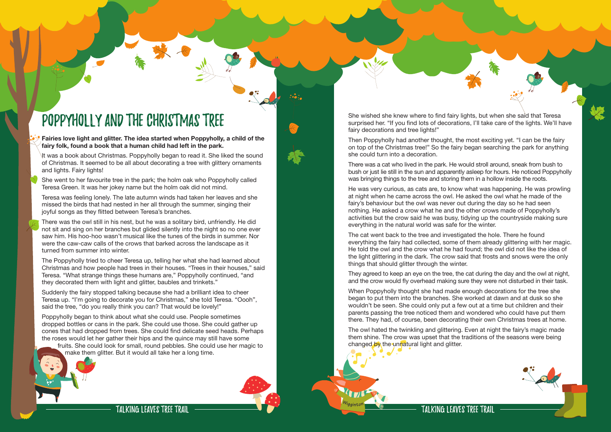Talking Leaves Tree Trail



## Poppyholly and the Christmas Tree

**Fairies love light and glitter. The idea started when Poppyholly, a child of the fairy folk, found a book that a human child had left in the park.** 

It was a book about Christmas. Poppyholly began to read it. She liked the sound of Christmas. It seemed to be all about decorating a tree with glittery ornaments and lights. Fairy lights!

She went to her favourite tree in the park; the holm oak who Poppyholly called Teresa Green. It was her jokey name but the holm oak did not mind.

Teresa was feeling lonely. The late autumn winds had taken her leaves and she missed the birds that had nested in her all through the summer, singing their joyful songs as they flitted between Teresa's branches.

There was the owl still in his nest, but he was a solitary bird, unfriendly. He did not sit and sing on her branches but glided silently into the night so no one ever saw him. His hoo-hoo wasn't musical like the tunes of the birds in summer. Nor were the caw-caw calls of the crows that barked across the landscape as it turned from summer into winter.

The Poppyholly tried to cheer Teresa up, telling her what she had learned about Christmas and how people had trees in their houses. "Trees in their houses," said Teresa. "What strange things these humans are," Poppyholly continued, "and they decorated them with light and glitter, baubles and trinkets."

Suddenly the fairy stopped talking because she had a brilliant idea to cheer Teresa up. "I'm going to decorate you for Christmas," she told Teresa. "Oooh", said the tree, "do you really think you can? That would be lovely!"

Poppyholly began to think about what she could use. People sometimes dropped bottles or cans in the park. She could use those. She could gather up cones that had dropped from trees. She could find delicate seed heads. Perhaps the roses would let her gather their hips and the quince may still have some fruits. She could look for small, round pebbles. She could use her magic to

make them glitter. But it would all take her a long time.

The owl hated the twinkling and glittering. Even at night the fairy's magic made them shine. The crow was upset that the traditions of the seasons were being changed by the unnatural light and glitter.



Then Poppyholly had another thought, the most exciting yet. "I can be the fairy on top of the Christmas tree!" So the fairy began searching the park for anything she could turn into a decoration.

There was a cat who lived in the park. He would stroll around, sneak from bush to bush or just lie still in the sun and apparently asleep for hours. He noticed Poppyholly was bringing things to the tree and storing them in a hollow inside the roots.

He was very curious, as cats are, to know what was happening. He was prowling at night when he came across the owl. He asked the owl what he made of the fairy's behaviour but the owl was never out during the day so he had seen nothing. He asked a crow what he and the other crows made of Poppyholly's activities but the crow said he was busy, tidying up the countryside making sure everything in the natural world was safe for the winter.

The cat went back to the tree and investigated the hole. There he found everything the fairy had collected, some of them already glittering with her magic. He told the owl and the crow what he had found; the owl did not like the idea of the light glittering in the dark. The crow said that frosts and snows were the only things that should glitter through the winter.

They agreed to keep an eye on the tree, the cat during the day and the owl at night, and the crow would fly overhead making sure they were not disturbed in their task.

When Poppyholly thought she had made enough decorations for the tree she began to put them into the branches. She worked at dawn and at dusk so she wouldn't be seen. She could only put a few out at a time but children and their parents passing the tree noticed them and wondered who could have put them there. They had, of course, been decorating their own Christmas trees at home.